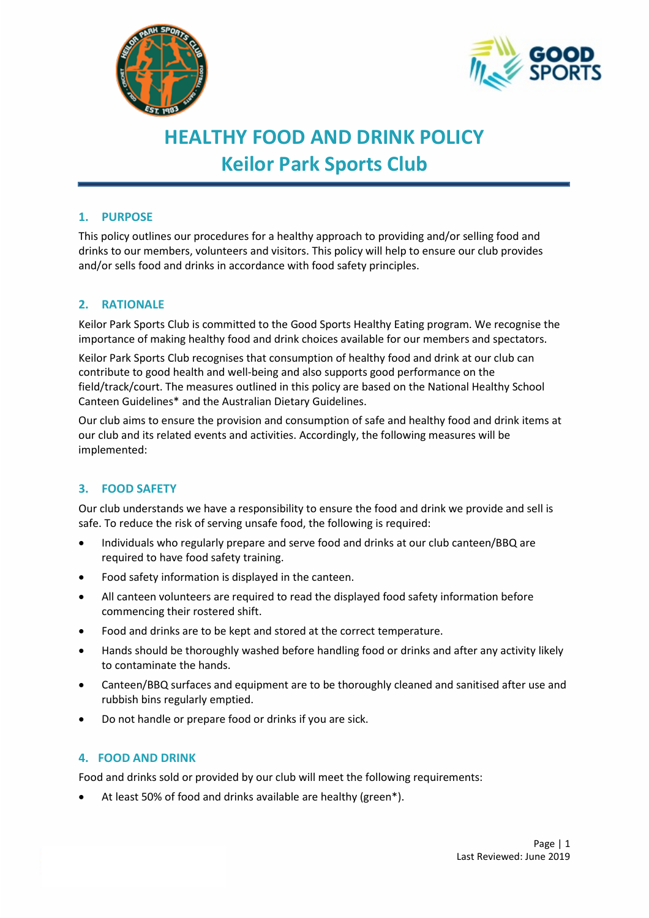



# **HEALTHY FOOD AND DRINK POLICY Keilor Park Sports Club**

## **1. PURPOSE**

This policy outlines our procedures for a healthy approach to providing and/or selling food and drinks to our members, volunteers and visitors. This policy will help to ensure our club provides and/or sells food and drinks in accordance with food safety principles.

## **2. RATIONALE**

Keilor Park Sports Club is committed to the Good Sports Healthy Eating program. We recognise the importance of making healthy food and drink choices available for our members and spectators.

Keilor Park Sports Club recognises that consumption of healthy food and drink at our club can contribute to good health and well-being and also supports good performance on the field/track/court. The measures outlined in this policy are based on the National Healthy School Canteen Guidelines\* and the Australian Dietary Guidelines.

Our club aims to ensure the provision and consumption of safe and healthy food and drink items at our club and its related events and activities. Accordingly, the following measures will be implemented:

# **3. FOOD SAFETY**

Our club understands we have a responsibility to ensure the food and drink we provide and sell is safe. To reduce the risk of serving unsafe food, the following is required:

- Individuals who regularly prepare and serve food and drinks at our club canteen/BBQ are required to have food safety training.
- Food safety information is displayed in the canteen.
- All canteen volunteers are required to read the displayed food safety information before commencing their rostered shift.
- Food and drinks are to be kept and stored at the correct temperature.
- Hands should be thoroughly washed before handling food or drinks and after any activity likely to contaminate the hands.
- Canteen/BBQ surfaces and equipment are to be thoroughly cleaned and sanitised after use and rubbish bins regularly emptied.
- Do not handle or prepare food or drinks if you are sick.

#### **4. FOOD AND DRINK**

Food and drinks sold or provided by our club will meet the following requirements:

At least 50% of food and drinks available are healthy (green\*).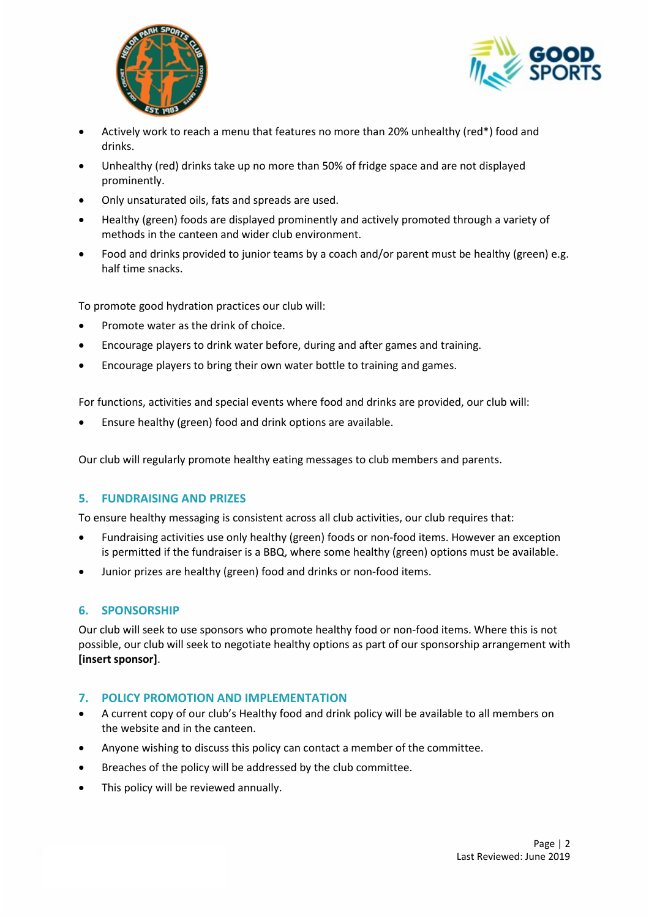



- Actively work to reach a menu that features no more than 20% unhealthy (red\*) food and drinks.
- Unhealthy (red) drinks take up no more than 50% of fridge space and are not displayed prominently.
- Only unsaturated oils, fats and spreads are used.
- Healthy (green) foods are displayed prominently and actively promoted through a variety of methods in the canteen and wider club environment.
- Food and drinks provided to junior teams by a coach and/or parent must be healthy (green) e.g. half time snacks.

To promote good hydration practices our club will:

- Promote water as the drink of choice.
- Encourage players to drink water before, during and after games and training.
- Encourage players to bring their own water bottle to training and games.

For functions, activities and special events where food and drinks are provided, our club will:

• Ensure healthy (green) food and drink options are available.

Our club will regularly promote healthy eating messages to club members and parents.

#### **5. FUNDRAISING AND PRIZES**

To ensure healthy messaging is consistent across all club activities, our club requires that:

- Fundraising activities use only healthy (green) foods or non-food items. However an exception is permitted if the fundraiser is a BBQ, where some healthy (green) options must be available.
- Junior prizes are healthy (green) food and drinks or non-food items.

#### **6. SPONSORSHIP**

Our club will seek to use sponsors who promote healthy food or non-food items. Where this is not possible, our club will seek to negotiate healthy options as part of our sponsorship arrangement with **[insert sponsor]**.

#### **7. POLICY PROMOTION AND IMPLEMENTATION**

- A current copy of our club's Healthy food and drink policy will be available to all members on the website and in the canteen.
- Anyone wishing to discuss this policy can contact a member of the committee.
- Breaches of the policy will be addressed by the club committee.
- This policy will be reviewed annually.